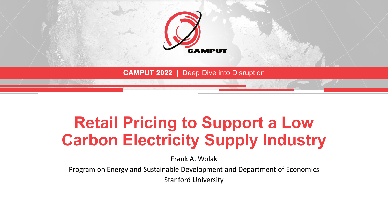

### **Retail Pricing to Support a Low Carbon Electricity Supply Industry**

Frank A. Wolak

Program on Energy and Sustainable Development and Department of Economics

Stanford University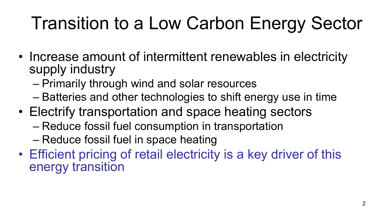## Transition to a Low Carbon Energy Sector

- Increase amount of intermittent renewables in electricity supply industry
	- Primarily through wind and solar resources
	- Batteries and other technologies to shift energy use in time
- Electrify transportation and space heating sectors
	- Reduce fossil fuel consumption in transportation
	- Reduce fossil fuel in space heating
- Efficient pricing of retail electricity is a key driver of this energy transition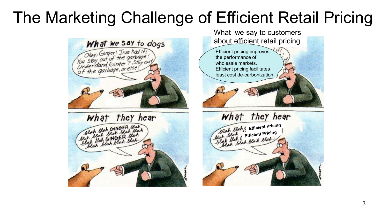### The Marketing Challenge of Efficient Retail Pricing

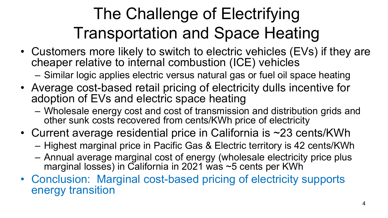## The Challenge of Electrifying Transportation and Space Heating

- Customers more likely to switch to electric vehicles (EVs) if they are cheaper relative to internal combustion (ICE) vehicles
	- Similar logic applies electric versus natural gas or fuel oil space heating
- Average cost-based retail pricing of electricity dulls incentive for adoption of EVs and electric space heating
	- Wholesale energy cost and cost of transmission and distribution grids and other sunk costs recovered from cents/KWh price of electricity
- Current average residential price in California is ~23 cents/KWh
	- Highest marginal price in Pacific Gas & Electric territory is 42 cents/KWh
	- Annual average marginal cost of energy (wholesale electricity price plus marginal losses) in California in 2021 was ~5 cents per KWh
- Conclusion: Marginal cost-based pricing of electricity supports energy transition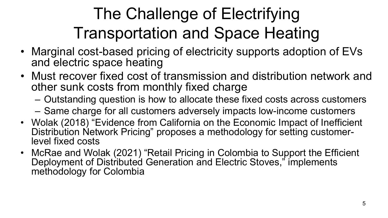## The Challenge of Electrifying Transportation and Space Heating

- Marginal cost-based pricing of electricity supports adoption of EVs and electric space heating
- Must recover fixed cost of transmission and distribution network and other sunk costs from monthly fixed charge
	- Outstanding question is how to allocate these fixed costs across customers
	- Same charge for all customers adversely impacts low-income customers
- Wolak (2018) "Evidence from California on the Economic Impact of Inefficient Distribution Network Pricing" proposes a methodology for setting customer- level fixed costs
- McRae and Wolak (2021) "Retail Pricing in Colombia to Support the Efficient Deployment of Distributed Generation and Electric Stoves," implements methodology for Colombia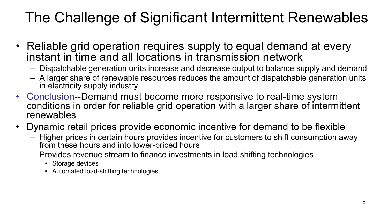#### The Challenge of Significant Intermittent Renewables

- Reliable grid operation requires supply to equal demand at every instant in time and all locations in transmission network
	- Dispatchable generation units increase and decrease output to balance supply and demand
	- A larger share of renewable resources reduces the amount of dispatchable generation units in electricity supply industry
- Conclusion--Demand must become more responsive to real-time system conditions in order for reliable grid operation with a larger share of intermittent renewables
- Dynamic retail prices provide economic incentive for demand to be flexible
	- Higher prices in certain hours provides incentive for customers to shift consumption away from these hours and into lower-priced hours
	- Provides revenue stream to finance investments in load shifting technologies
		- Storage devices
		- Automated load-shifting technologies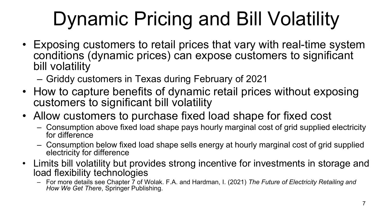# Dynamic Pricing and Bill Volatility

- Exposing customers to retail prices that vary with real-time system conditions (dynamic prices) can expose customers to significant bill volatility
	- Griddy customers in Texas during February of 2021
- How to capture benefits of dynamic retail prices without exposing customers to significant bill volatility
- Allow customers to purchase fixed load shape for fixed cost
	- Consumption above fixed load shape pays hourly marginal cost of grid supplied electricity for difference
	- Consumption below fixed load shape sells energy at hourly marginal cost of grid supplied electricity for difference
- Limits bill volatility but provides strong incentive for investments in storage and load flexibility technologies
	- For more details see Chapter 7 of Wolak. F.A. and Hardman, I. (2021) *The Future of Electricity Retailing and How We Get There*, Springer Publishing.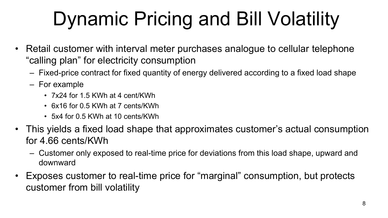# Dynamic Pricing and Bill Volatility

- Retail customer with interval meter purchases analogue to cellular telephone "calling plan" for electricity consumption
	- Fixed-price contract for fixed quantity of energy delivered according to a fixed load shape
	- For example
		- 7x24 for 1.5 KWh at 4 cent/KWh
		- 6x16 for 0.5 KWh at 7 cents/KWh
		- 5x4 for 0.5 KWh at 10 cents/KWh
- This yields a fixed load shape that approximates customer's actual consumption for 4.66 cents/KWh
	- Customer only exposed to real-time price for deviations from this load shape, upward and downward
- Exposes customer to real-time price for "marginal" consumption, but protects customer from bill volatility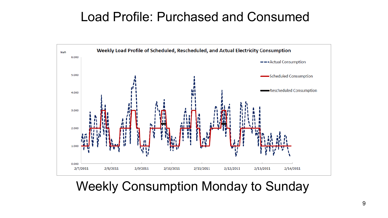#### Load Profile: Purchased and Consumed



#### Weekly Consumption Monday to Sunday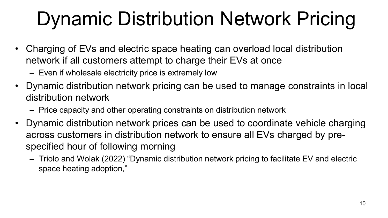## Dynamic Distribution Network Pricing

- Charging of EVs and electric space heating can overload local distribution network if all customers attempt to charge their EVs at once
	- Even if wholesale electricity price is extremely low
- Dynamic distribution network pricing can be used to manage constraints in local distribution network
	- Price capacity and other operating constraints on distribution network
- Dynamic distribution network prices can be used to coordinate vehicle charging across customers in distribution network to ensure all EVs charged by prespecified hour of following morning
	- Triolo and Wolak (2022) "Dynamic distribution network pricing to facilitate EV and electric space heating adoption,"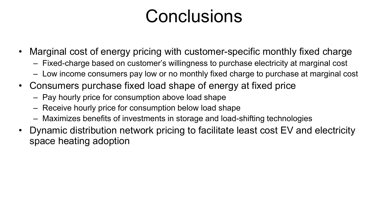## **Conclusions**

- Marginal cost of energy pricing with customer-specific monthly fixed charge
	- Fixed-charge based on customer's willingness to purchase electricity at marginal cost
	- Low income consumers pay low or no monthly fixed charge to purchase at marginal cost
- Consumers purchase fixed load shape of energy at fixed price
	- Pay hourly price for consumption above load shape
	- Receive hourly price for consumption below load shape
	- Maximizes benefits of investments in storage and load-shifting technologies
- Dynamic distribution network pricing to facilitate least cost EV and electricity space heating adoption